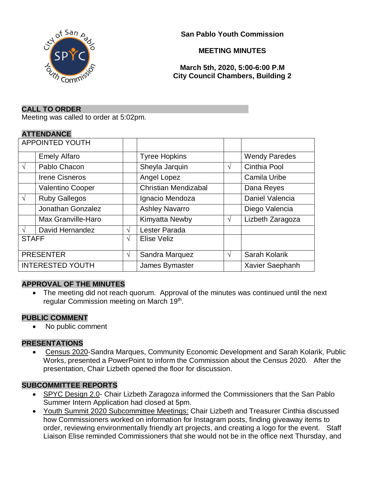

**San Pablo Youth Commission**

### **MEETING MINUTES**

**March 5th, 2020, 5:00-6:00 P.M City Council Chambers, Building 2**

#### **CALL TO ORDER**

Meeting was called to order at 5:02pm.

### **ATTENDANCE**

| <b>APPOINTED YOUTH</b>  |                         |            |                             |            |                      |
|-------------------------|-------------------------|------------|-----------------------------|------------|----------------------|
|                         | <b>Emely Alfaro</b>     |            | <b>Tyree Hopkins</b>        |            | <b>Wendy Paredes</b> |
| $\sqrt{}$               | Pablo Chacon            |            | Sheyla Jarquin              | V          | Cinthia Pool         |
|                         | <b>Irene Cisneros</b>   |            | Angel Lopez                 |            | <b>Camila Uribe</b>  |
|                         | <b>Valentino Cooper</b> |            | <b>Christian Mendizabal</b> |            | Dana Reyes           |
| $\sqrt{ }$              | <b>Ruby Gallegos</b>    |            | Ignacio Mendoza             |            | Daniel Valencia      |
|                         | Jonathan Gonzalez       |            | <b>Ashley Navarro</b>       |            | Diego Valencia       |
|                         | Max Granville-Haro      |            | Kimyatta Newby              | V          | Lizbeth Zaragoza     |
| $\sqrt{}$               | David Hernandez         | V          | Lester Parada               |            |                      |
| <b>STAFF</b>            |                         | $\sqrt{ }$ | Elise Veliz                 |            |                      |
| <b>PRESENTER</b>        |                         | V          | Sandra Marquez              | $\sqrt{ }$ | Sarah Kolarik        |
| <b>INTERESTED YOUTH</b> |                         |            | James Bymaster              |            | Xavier Saephanh      |

### **APPROVAL OF THE MINUTES**

• The meeting did not reach quorum. Approval of the minutes was continued until the next regular Commission meeting on March 19<sup>th</sup>.

#### **PUBLIC COMMENT**

• No public comment

#### **PRESENTATIONS**

• Census 2020-Sandra Marques, Community Economic Development and Sarah Kolarik, Public Works, presented a PowerPoint to inform the Commission about the Census 2020. After the presentation, Chair Lizbeth opened the floor for discussion.

### **SUBCOMMITTEE REPORTS**

- SPYC Design 2.0- Chair Lizbeth Zaragoza informed the Commissioners that the San Pablo Summer Intern Application had closed at 5pm.
- Youth Summit 2020 Subcommittee Meetings: Chair Lizbeth and Treasurer Cinthia discussed how Commissioners worked on information for Instagram posts, finding giveaway items to order, reviewing environmentally friendly art projects, and creating a logo for the event. Staff Liaison Elise reminded Commissioners that she would not be in the office next Thursday, and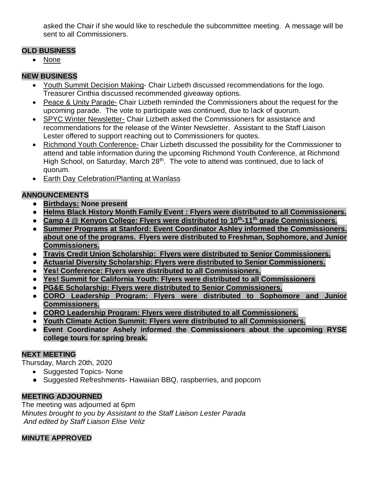asked the Chair if she would like to reschedule the subcommittee meeting. A message will be sent to all Commissioners.

## **OLD BUSINESS**

• None

## **NEW BUSINESS**

- Youth Summit Decision Making- Chair Lizbeth discussed recommendations for the logo. Treasurer Cinthia discussed recommended giveaway options.
- Peace & Unity Parade- Chair Lizbeth reminded the Commissioners about the request for the upcoming parade. The vote to participate was continued, due to lack of quorum.
- SPYC Winter Newsletter- Chair Lizbeth asked the Commissioners for assistance and recommendations for the release of the Winter Newsletter. Assistant to the Staff Liaison Lester offered to support reaching out to Commissioners for quotes.
- Richmond Youth Conference- Chair Lizbeth discussed the possibility for the Commissioner to attend and table information during the upcoming Richmond Youth Conference, at Richmond High School, on Saturday, March 28<sup>th</sup>. The vote to attend was continued, due to lack of quorum.
- Earth Day Celebration/Planting at Wanlass

## **ANNOUNCEMENTS**

- **Birthdays: None present**
- **Helms Black History Month Family Event : Flyers were distributed to all Commissioners.**
- **Camp 4 @ Kenyon College: Flyers were distributed to 10th -11th grade Commissioners.**
- **Summer Programs at Stanford: Event Coordinator Ashley informed the Commissioners. about one of the programs. Flyers were distributed to Freshman, Sophomore, and Junior Commissioners.**
- **Travis Credit Union Scholarship: Flyers were distributed to Senior Commissioners.**
- **Actuarial Diversity Scholarship: Flyers were distributed to Senior Commissioners.**
- **Yes! Conference: Flyers were distributed to all Commissioners.**
- **Yes! Summit for California Youth: Flyers were distributed to all Commissioners**
- **PG&E Scholarship: Flyers were distributed to Senior Commissioners.**
- **CORO Leadership Program: Flyers were distributed to Sophomore and Junior Commissioners.**
- **CORO Leadership Program: Flyers were distributed to all Commissioners.**
- **Youth Climate Action Summit: Flyers were distributed to all Commissioners.**
- **Event Coordinator Ashely informed the Commissioners about the upcoming RYSE college tours for spring break.**

# **NEXT MEETING**

Thursday, March 20th, 2020

- Suggested Topics- None
- Suggested Refreshments- Hawaiian BBQ, raspberries, and popcorn

# **MEETING ADJOURNED**

The meeting was adjourned at 6pm *Minutes brought to you by Assistant to the Staff Liaison Lester Parada And edited by Staff Liaison Elise Veliz*

## **MINUTE APPROVED**